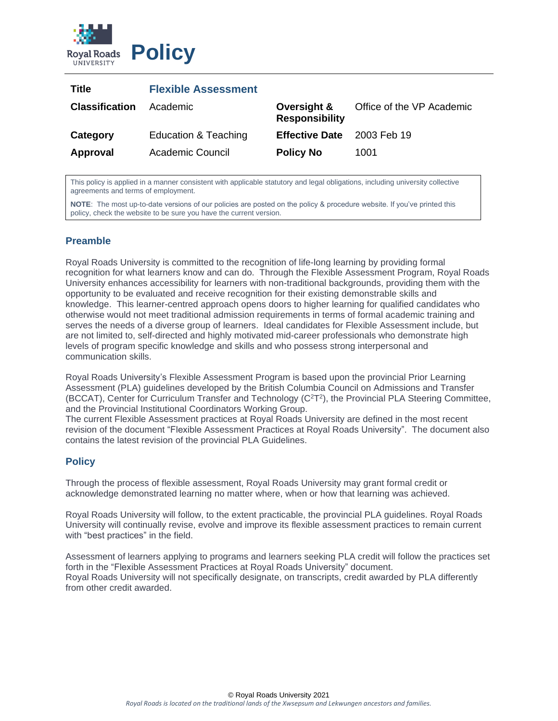

| Title                 | <b>Flexible Assessment</b> |                                      |                           |
|-----------------------|----------------------------|--------------------------------------|---------------------------|
| <b>Classification</b> | Academic                   | Oversight &<br><b>Responsibility</b> | Office of the VP Academic |
| Category              | Education & Teaching       | <b>Effective Date</b>                | 2003 Feb 19               |
| Approval              | <b>Academic Council</b>    | <b>Policy No</b>                     | 1001                      |

This policy is applied in a manner consistent with applicable statutory and legal obligations, including university collective agreements and terms of employment.

**NOTE**: The most up-to-date versions of our policies are posted on the policy & procedure website. If you've printed this policy, check the website to be sure you have the current version.

## **Preamble**

Royal Roads University is committed to the recognition of life-long learning by providing formal recognition for what learners know and can do. Through the Flexible Assessment Program, Royal Roads University enhances accessibility for learners with non-traditional backgrounds, providing them with the opportunity to be evaluated and receive recognition for their existing demonstrable skills and knowledge. This learner-centred approach opens doors to higher learning for qualified candidates who otherwise would not meet traditional admission requirements in terms of formal academic training and serves the needs of a diverse group of learners. Ideal candidates for Flexible Assessment include, but are not limited to, self-directed and highly motivated mid-career professionals who demonstrate high levels of program specific knowledge and skills and who possess strong interpersonal and communication skills.

Royal Roads University's Flexible Assessment Program is based upon the provincial Prior Learning Assessment (PLA) guidelines developed by the British Columbia Council on Admissions and Transfer (BCCAT), Center for Curriculum Transfer and Technology (C<sup>2</sup>T<sup>2</sup>), the Provincial PLA Steering Committee, and the Provincial Institutional Coordinators Working Group.

The current Flexible Assessment practices at Royal Roads University are defined in the most recent revision of the document "Flexible Assessment Practices at Royal Roads University". The document also contains the latest revision of the provincial PLA Guidelines.

## **Policy**

Through the process of flexible assessment, Royal Roads University may grant formal credit or acknowledge demonstrated learning no matter where, when or how that learning was achieved.

Royal Roads University will follow, to the extent practicable, the provincial PLA guidelines. Royal Roads University will continually revise, evolve and improve its flexible assessment practices to remain current with "best practices" in the field.

Assessment of learners applying to programs and learners seeking PLA credit will follow the practices set forth in the "Flexible Assessment Practices at Royal Roads University" document. Royal Roads University will not specifically designate, on transcripts, credit awarded by PLA differently from other credit awarded.